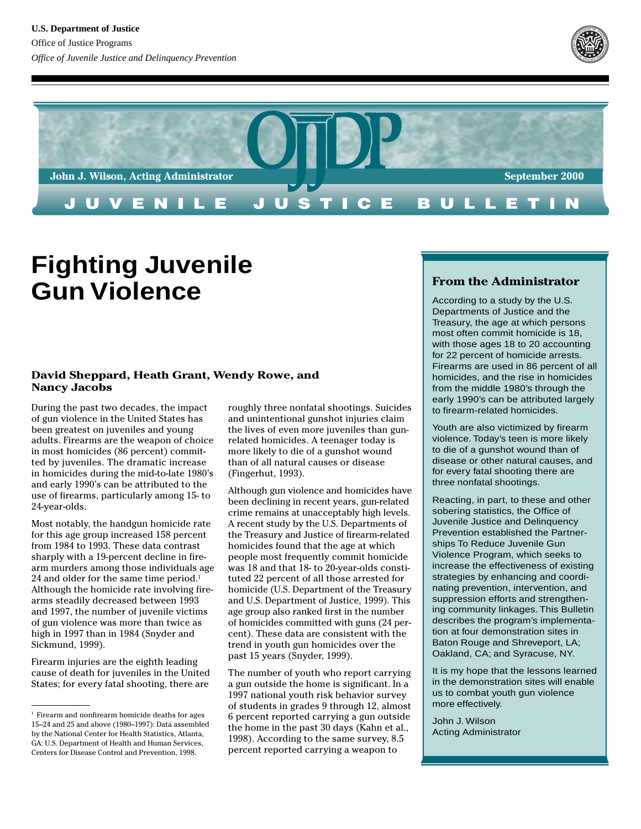



# **Fighting Juvenile Gun Violence**

#### **David Sheppard, Heath Grant, Wendy Rowe, and Nancy Jacobs**

During the past two decades, the impact of gun violence in the United States has been greatest on juveniles and young adults. Firearms are the weapon of choice in most homicides (86 percent) committed by juveniles. The dramatic increase in homicides during the mid-to-late 1980's and early 1990's can be attributed to the use of firearms, particularly among 15- to 24-year-olds.

Most notably, the handgun homicide rate for this age group increased 158 percent from 1984 to 1993. These data contrast sharply with a 19-percent decline in firearm murders among those individuals age 24 and older for the same time period.<sup>1</sup> Although the homicide rate involving firearms steadily decreased between 1993 and 1997, the number of juvenile victims of gun violence was more than twice as high in 1997 than in 1984 (Snyder and Sickmund, 1999).

Firearm injuries are the eighth leading cause of death for juveniles in the United States; for every fatal shooting, there are

roughly three nonfatal shootings. Suicides and unintentional gunshot injuries claim the lives of even more juveniles than gunrelated homicides. A teenager today is more likely to die of a gunshot wound than of all natural causes or disease (Fingerhut, 1993).

Although gun violence and homicides have been declining in recent years, gun-related crime remains at unacceptably high levels. A recent study by the U.S. Departments of the Treasury and Justice of firearm-related homicides found that the age at which people most frequently commit homicide was 18 and that 18- to 20-year-olds constituted 22 percent of all those arrested for homicide (U.S. Department of the Treasury and U.S. Department of Justice, 1999). This age group also ranked first in the number of homicides committed with guns (24 percent). These data are consistent with the trend in youth gun homicides over the past 15 years (Snyder, 1999).

The number of youth who report carrying a gun outside the home is significant. In a 1997 national youth risk behavior survey of students in grades 9 through 12, almost 6 percent reported carrying a gun outside the home in the past 30 days (Kahn et al., 1998). According to the same survey, 8.5 percent reported carrying a weapon to

# **From the Administrator**

According to a study by the U.S. Departments of Justice and the Treasury, the age at which persons most often commit homicide is 18, with those ages 18 to 20 accounting for 22 percent of homicide arrests. Firearms are used in 86 percent of all homicides, and the rise in homicides from the middle 1980's through the early 1990's can be attributed largely to firearm-related homicides.

Youth are also victimized by firearm violence. Today's teen is more likely to die of a gunshot wound than of disease or other natural causes, and for every fatal shooting there are three nonfatal shootings.

Reacting, in part, to these and other sobering statistics, the Office of Juvenile Justice and Delinquency Prevention established the Partnerships To Reduce Juvenile Gun Violence Program, which seeks to increase the effectiveness of existing strategies by enhancing and coordinating prevention, intervention, and suppression efforts and strengthening community linkages. This Bulletin describes the program's implementation at four demonstration sites in Baton Rouge and Shreveport, LA; Oakland, CA; and Syracuse, NY.

It is my hope that the lessons learned in the demonstration sites will enable us to combat youth gun violence more effectively.

John J. Wilson Acting Administrator

<sup>&</sup>lt;sup>1</sup> Firearm and nonfirearm homicide deaths for ages 15–24 and 25 and above (1980–1997): Data assembled by the National Center for Health Statistics, Atlanta, GA: U.S. Department of Health and Human Services, Centers for Disease Control and Prevention, 1998.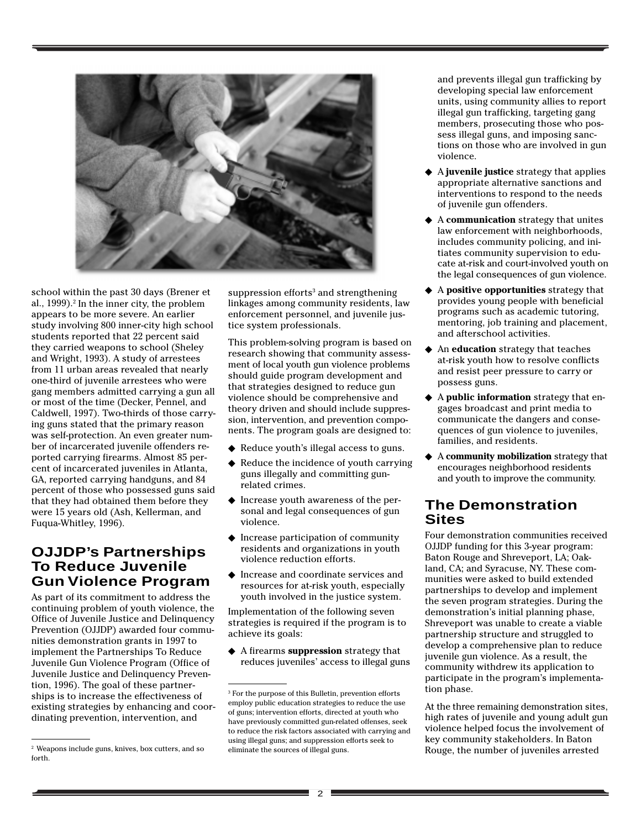

school within the past 30 days (Brener et al., 1999).<sup>2</sup> In the inner city, the problem appears to be more severe. An earlier study involving 800 inner-city high school students reported that 22 percent said they carried weapons to school (Sheley and Wright, 1993). A study of arrestees from 11 urban areas revealed that nearly one-third of juvenile arrestees who were gang members admitted carrying a gun all or most of the time (Decker, Pennel, and Caldwell, 1997). Two-thirds of those carrying guns stated that the primary reason was self-protection. An even greater number of incarcerated juvenile offenders reported carrying firearms. Almost 85 percent of incarcerated juveniles in Atlanta, GA, reported carrying handguns, and 84 percent of those who possessed guns said that they had obtained them before they were 15 years old (Ash, Kellerman, and Fuqua-Whitley, 1996).

# **OJJDP's Partnerships To Reduce Juvenile Gun Violence Program**

As part of its commitment to address the continuing problem of youth violence, the Office of Juvenile Justice and Delinquency Prevention (OJJDP) awarded four communities demonstration grants in 1997 to implement the Partnerships To Reduce Juvenile Gun Violence Program (Office of Juvenile Justice and Delinquency Prevention, 1996). The goal of these partnerships is to increase the effectiveness of existing strategies by enhancing and coordinating prevention, intervention, and

 $suppression$  efforts $^3$  and strengthening linkages among community residents, law enforcement personnel, and juvenile justice system professionals.

This problem-solving program is based on research showing that community assessment of local youth gun violence problems should guide program development and that strategies designed to reduce gun violence should be comprehensive and theory driven and should include suppression, intervention, and prevention components. The program goals are designed to:

- ◆ Reduce youth's illegal access to guns.
- ◆ Reduce the incidence of youth carrying guns illegally and committing gunrelated crimes.
- ◆ Increase youth awareness of the personal and legal consequences of gun violence.
- ◆ Increase participation of community residents and organizations in youth violence reduction efforts.
- ◆ Increase and coordinate services and resources for at-risk youth, especially youth involved in the justice system.

Implementation of the following seven strategies is required if the program is to achieve its goals:

◆ A firearms **suppression** strategy that reduces juveniles' access to illegal guns and prevents illegal gun trafficking by developing special law enforcement units, using community allies to report illegal gun trafficking, targeting gang members, prosecuting those who possess illegal guns, and imposing sanctions on those who are involved in gun violence.

- ◆ A **juvenile justice** strategy that applies appropriate alternative sanctions and interventions to respond to the needs of juvenile gun offenders.
- ◆ A **communication** strategy that unites law enforcement with neighborhoods, includes community policing, and initiates community supervision to educate at-risk and court-involved youth on the legal consequences of gun violence.
- ◆ A **positive opportunities** strategy that provides young people with beneficial programs such as academic tutoring, mentoring, job training and placement, and afterschool activities.
- ◆ An **education** strategy that teaches at-risk youth how to resolve conflicts and resist peer pressure to carry or possess guns.
- ◆ A **public information** strategy that engages broadcast and print media to communicate the dangers and consequences of gun violence to juveniles, families, and residents.
- ◆ A **community mobilization** strategy that encourages neighborhood residents and youth to improve the community.

# **The Demonstration Sites**

Four demonstration communities received OJJDP funding for this 3-year program: Baton Rouge and Shreveport, LA; Oakland, CA; and Syracuse, NY. These communities were asked to build extended partnerships to develop and implement the seven program strategies. During the demonstration's initial planning phase, Shreveport was unable to create a viable partnership structure and struggled to develop a comprehensive plan to reduce juvenile gun violence. As a result, the community withdrew its application to participate in the program's implementation phase.

At the three remaining demonstration sites, high rates of juvenile and young adult gun violence helped focus the involvement of key community stakeholders. In Baton

forth.

<sup>&</sup>lt;sup>2</sup> Weapons include guns, knives, box cutters, and so eliminate the sources of illegal guns. Rouge, the number of juveniles arrested 3 For the purpose of this Bulletin, prevention efforts employ public education strategies to reduce the use of guns; intervention efforts, directed at youth who have previously committed gun-related offenses, seek to reduce the risk factors associated with carrying and using illegal guns; and suppression efforts seek to eliminate the sources of illegal guns.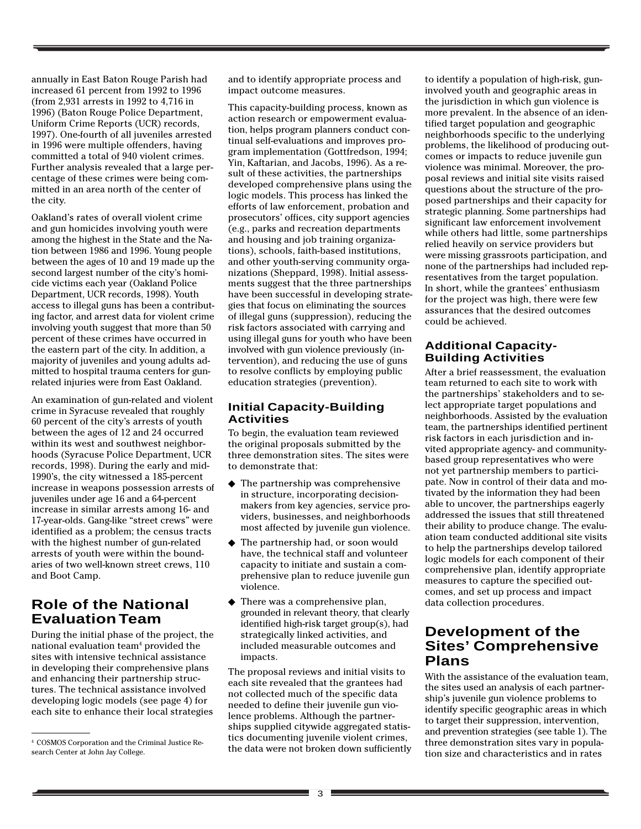annually in East Baton Rouge Parish had increased 61 percent from 1992 to 1996 (from 2,931 arrests in 1992 to 4,716 in 1996) (Baton Rouge Police Department, Uniform Crime Reports (UCR) records, 1997). One-fourth of all juveniles arrested in 1996 were multiple offenders, having committed a total of 940 violent crimes. Further analysis revealed that a large percentage of these crimes were being committed in an area north of the center of the city.

Oakland's rates of overall violent crime and gun homicides involving youth were among the highest in the State and the Nation between 1986 and 1996. Young people between the ages of 10 and 19 made up the second largest number of the city's homicide victims each year (Oakland Police Department, UCR records, 1998). Youth access to illegal guns has been a contributing factor, and arrest data for violent crime involving youth suggest that more than 50 percent of these crimes have occurred in the eastern part of the city. In addition, a majority of juveniles and young adults admitted to hospital trauma centers for gunrelated injuries were from East Oakland.

An examination of gun-related and violent crime in Syracuse revealed that roughly 60 percent of the city's arrests of youth between the ages of 12 and 24 occurred within its west and southwest neighborhoods (Syracuse Police Department, UCR records, 1998). During the early and mid-1990's, the city witnessed a 185-percent increase in weapons possession arrests of juveniles under age 16 and a 64-percent increase in similar arrests among 16- and 17-year-olds. Gang-like "street crews" were identified as a problem; the census tracts with the highest number of gun-related arrests of youth were within the boundaries of two well-known street crews, 110 and Boot Camp.

# **Role of the National Evaluation Team**

During the initial phase of the project, the national evaluation team<sup>4</sup> provided the sites with intensive technical assistance in developing their comprehensive plans and enhancing their partnership structures. The technical assistance involved developing logic models (see page 4) for each site to enhance their local strategies

and to identify appropriate process and impact outcome measures.

This capacity-building process, known as action research or empowerment evaluation, helps program planners conduct continual self-evaluations and improves program implementation (Gottfredson, 1994; Yin, Kaftarian, and Jacobs, 1996). As a result of these activities, the partnerships developed comprehensive plans using the logic models. This process has linked the efforts of law enforcement, probation and prosecutors' offices, city support agencies (e.g., parks and recreation departments and housing and job training organizations), schools, faith-based institutions, and other youth-serving community organizations (Sheppard, 1998). Initial assessments suggest that the three partnerships have been successful in developing strategies that focus on eliminating the sources of illegal guns (suppression), reducing the risk factors associated with carrying and using illegal guns for youth who have been involved with gun violence previously (intervention), and reducing the use of guns to resolve conflicts by employing public education strategies (prevention).

### **Initial Capacity-Building Activities**

To begin, the evaluation team reviewed the original proposals submitted by the three demonstration sites. The sites were to demonstrate that:

- ◆ The partnership was comprehensive in structure, incorporating decisionmakers from key agencies, service providers, businesses, and neighborhoods most affected by juvenile gun violence.
- ◆ The partnership had, or soon would have, the technical staff and volunteer capacity to initiate and sustain a comprehensive plan to reduce juvenile gun violence.
- ◆ There was a comprehensive plan, grounded in relevant theory, that clearly identified high-risk target group(s), had strategically linked activities, and included measurable outcomes and impacts.

The proposal reviews and initial visits to each site revealed that the grantees had not collected much of the specific data needed to define their juvenile gun violence problems. Although the partnerships supplied citywide aggregated statistics documenting juvenile violent crimes, the data were not broken down sufficiently to identify a population of high-risk, guninvolved youth and geographic areas in the jurisdiction in which gun violence is more prevalent. In the absence of an identified target population and geographic neighborhoods specific to the underlying problems, the likelihood of producing outcomes or impacts to reduce juvenile gun violence was minimal. Moreover, the proposal reviews and initial site visits raised questions about the structure of the proposed partnerships and their capacity for strategic planning. Some partnerships had significant law enforcement involvement while others had little, some partnerships relied heavily on service providers but were missing grassroots participation, and none of the partnerships had included representatives from the target population. In short, while the grantees' enthusiasm for the project was high, there were few assurances that the desired outcomes could be achieved.

### **Additional Capacity-Building Activities**

After a brief reassessment, the evaluation team returned to each site to work with the partnerships' stakeholders and to select appropriate target populations and neighborhoods. Assisted by the evaluation team, the partnerships identified pertinent risk factors in each jurisdiction and invited appropriate agency- and communitybased group representatives who were not yet partnership members to participate. Now in control of their data and motivated by the information they had been able to uncover, the partnerships eagerly addressed the issues that still threatened their ability to produce change. The evaluation team conducted additional site visits to help the partnerships develop tailored logic models for each component of their comprehensive plan, identify appropriate measures to capture the specified outcomes, and set up process and impact data collection procedures.

# **Development of the Sites' Comprehensive Plans**

With the assistance of the evaluation team, the sites used an analysis of each partnership's juvenile gun violence problems to identify specific geographic areas in which to target their suppression, intervention, and prevention strategies (see table 1). The three demonstration sites vary in population size and characteristics and in rates

<sup>4</sup> COSMOS Corporation and the Criminal Justice Research Center at John Jay College.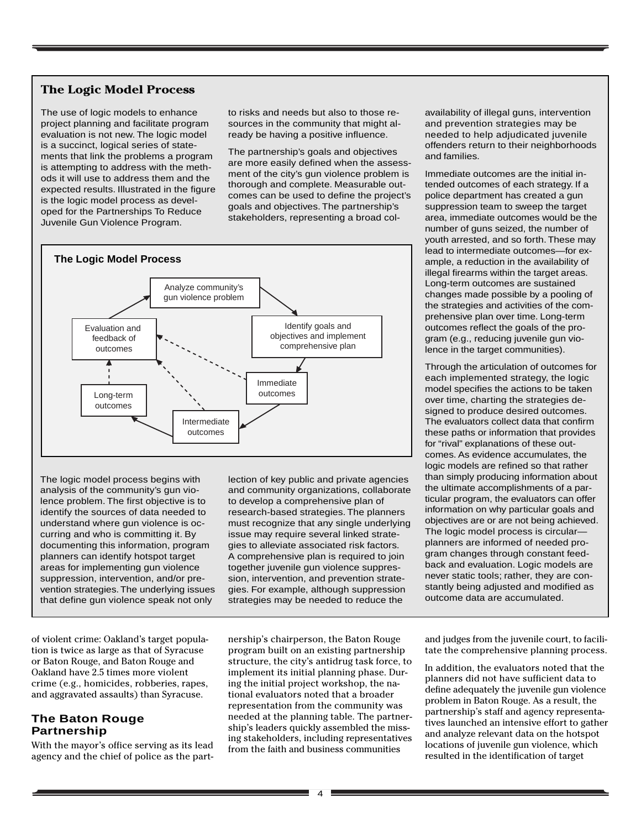# **The Logic Model Process**

The use of logic models to enhance project planning and facilitate program evaluation is not new. The logic model is a succinct, logical series of statements that link the problems a program is attempting to address with the methods it will use to address them and the expected results. Illustrated in the figure is the logic model process as developed for the Partnerships To Reduce Juvenile Gun Violence Program.

to risks and needs but also to those resources in the community that might already be having a positive influence.

The partnership's goals and objectives are more easily defined when the assessment of the city's gun violence problem is thorough and complete. Measurable outcomes can be used to define the project's goals and objectives. The partnership's stakeholders, representing a broad col-



The logic model process begins with analysis of the community's gun violence problem. The first objective is to identify the sources of data needed to understand where gun violence is occurring and who is committing it. By documenting this information, program planners can identify hotspot target areas for implementing gun violence suppression, intervention, and/or prevention strategies. The underlying issues that define gun violence speak not only

of violent crime: Oakland's target population is twice as large as that of Syracuse or Baton Rouge, and Baton Rouge and Oakland have 2.5 times more violent crime (e.g., homicides, robberies, rapes, and aggravated assaults) than Syracuse.

## **The Baton Rouge Partnership**

With the mayor's office serving as its lead agency and the chief of police as the part-

lection of key public and private agencies and community organizations, collaborate to develop a comprehensive plan of research-based strategies. The planners must recognize that any single underlying issue may require several linked strategies to alleviate associated risk factors. A comprehensive plan is required to join together juvenile gun violence suppression, intervention, and prevention strategies. For example, although suppression strategies may be needed to reduce the

nership's chairperson, the Baton Rouge program built on an existing partnership structure, the city's antidrug task force, to implement its initial planning phase. During the initial project workshop, the national evaluators noted that a broader representation from the community was needed at the planning table. The partnership's leaders quickly assembled the missing stakeholders, including representatives from the faith and business communities

availability of illegal guns, intervention and prevention strategies may be needed to help adjudicated juvenile offenders return to their neighborhoods and families.

Immediate outcomes are the initial intended outcomes of each strategy. If a police department has created a gun suppression team to sweep the target area, immediate outcomes would be the number of guns seized, the number of youth arrested, and so forth. These may lead to intermediate outcomes—for example, a reduction in the availability of illegal firearms within the target areas. Long-term outcomes are sustained changes made possible by a pooling of the strategies and activities of the comprehensive plan over time. Long-term outcomes reflect the goals of the program (e.g., reducing juvenile gun violence in the target communities).

Through the articulation of outcomes for each implemented strategy, the logic model specifies the actions to be taken over time, charting the strategies designed to produce desired outcomes. The evaluators collect data that confirm these paths or information that provides for "rival" explanations of these outcomes. As evidence accumulates, the logic models are refined so that rather than simply producing information about the ultimate accomplishments of a particular program, the evaluators can offer information on why particular goals and objectives are or are not being achieved. The logic model process is circular planners are informed of needed program changes through constant feedback and evaluation. Logic models are never static tools; rather, they are constantly being adjusted and modified as outcome data are accumulated.

and judges from the juvenile court, to facilitate the comprehensive planning process.

In addition, the evaluators noted that the planners did not have sufficient data to define adequately the juvenile gun violence problem in Baton Rouge. As a result, the partnership's staff and agency representatives launched an intensive effort to gather and analyze relevant data on the hotspot locations of juvenile gun violence, which resulted in the identification of target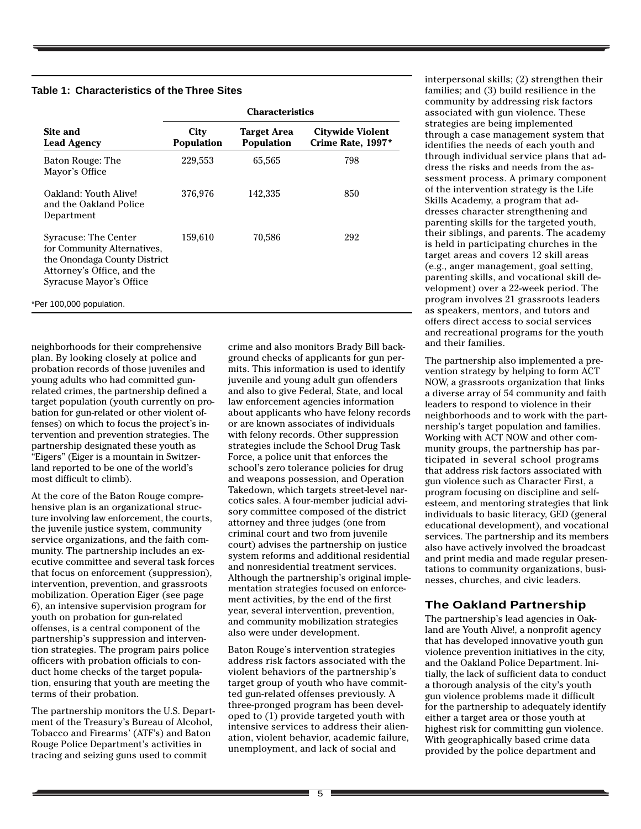#### **Table 1: Characteristics of the Three Sites**

|                                                                                                                                              | <b>Characteristics</b>    |                                         |                                       |  |
|----------------------------------------------------------------------------------------------------------------------------------------------|---------------------------|-----------------------------------------|---------------------------------------|--|
| Site and<br><b>Lead Agency</b>                                                                                                               | City<br><b>Population</b> | <b>Target Area</b><br><b>Population</b> | Citywide Violent<br>Crime Rate, 1997* |  |
| Baton Rouge: The<br>Mayor's Office                                                                                                           | 229,553                   | 65,565                                  | 798                                   |  |
| Oakland: Youth Alive!<br>and the Oakland Police<br>Department                                                                                | 376,976                   | 142,335                                 | 850                                   |  |
| Syracuse: The Center<br>for Community Alternatives,<br>the Onondaga County District<br>Attorney's Office, and the<br>Syracuse Mayor's Office | 159,610                   | 70,586                                  | 292                                   |  |
| *Per 100,000 population.                                                                                                                     |                           |                                         |                                       |  |

neighborhoods for their comprehensive plan. By looking closely at police and probation records of those juveniles and young adults who had committed gunrelated crimes, the partnership defined a target population (youth currently on probation for gun-related or other violent offenses) on which to focus the project's intervention and prevention strategies. The partnership designated these youth as "Eigers" (Eiger is a mountain in Switzerland reported to be one of the world's most difficult to climb).

At the core of the Baton Rouge comprehensive plan is an organizational structure involving law enforcement, the courts, the juvenile justice system, community service organizations, and the faith community. The partnership includes an executive committee and several task forces that focus on enforcement (suppression), intervention, prevention, and grassroots mobilization. Operation Eiger (see page 6), an intensive supervision program for youth on probation for gun-related offenses, is a central component of the partnership's suppression and intervention strategies. The program pairs police officers with probation officials to conduct home checks of the target population, ensuring that youth are meeting the terms of their probation.

The partnership monitors the U.S. Department of the Treasury's Bureau of Alcohol, Tobacco and Firearms' (ATF's) and Baton Rouge Police Department's activities in tracing and seizing guns used to commit

crime and also monitors Brady Bill background checks of applicants for gun permits. This information is used to identify juvenile and young adult gun offenders and also to give Federal, State, and local law enforcement agencies information about applicants who have felony records or are known associates of individuals with felony records. Other suppression strategies include the School Drug Task Force, a police unit that enforces the school's zero tolerance policies for drug and weapons possession, and Operation Takedown, which targets street-level narcotics sales. A four-member judicial advisory committee composed of the district attorney and three judges (one from criminal court and two from juvenile court) advises the partnership on justice system reforms and additional residential and nonresidential treatment services. Although the partnership's original implementation strategies focused on enforcement activities, by the end of the first year, several intervention, prevention, and community mobilization strategies also were under development.

Baton Rouge's intervention strategies address risk factors associated with the violent behaviors of the partnership's target group of youth who have committed gun-related offenses previously. A three-pronged program has been developed to (1) provide targeted youth with intensive services to address their alienation, violent behavior, academic failure, unemployment, and lack of social and

interpersonal skills; (2) strengthen their families; and (3) build resilience in the community by addressing risk factors associated with gun violence. These strategies are being implemented through a case management system that identifies the needs of each youth and through individual service plans that address the risks and needs from the assessment process. A primary component of the intervention strategy is the Life Skills Academy, a program that addresses character strengthening and parenting skills for the targeted youth, their siblings, and parents. The academy is held in participating churches in the target areas and covers 12 skill areas (e.g., anger management, goal setting, parenting skills, and vocational skill development) over a 22-week period. The program involves 21 grassroots leaders as speakers, mentors, and tutors and offers direct access to social services and recreational programs for the youth and their families.

The partnership also implemented a prevention strategy by helping to form ACT NOW, a grassroots organization that links a diverse array of 54 community and faith leaders to respond to violence in their neighborhoods and to work with the partnership's target population and families. Working with ACT NOW and other community groups, the partnership has participated in several school programs that address risk factors associated with gun violence such as Character First, a program focusing on discipline and selfesteem, and mentoring strategies that link individuals to basic literacy, GED (general educational development), and vocational services. The partnership and its members also have actively involved the broadcast and print media and made regular presentations to community organizations, businesses, churches, and civic leaders.

## **The Oakland Partnership**

The partnership's lead agencies in Oakland are Youth Alive!, a nonprofit agency that has developed innovative youth gun violence prevention initiatives in the city, and the Oakland Police Department. Initially, the lack of sufficient data to conduct a thorough analysis of the city's youth gun violence problems made it difficult for the partnership to adequately identify either a target area or those youth at highest risk for committing gun violence. With geographically based crime data provided by the police department and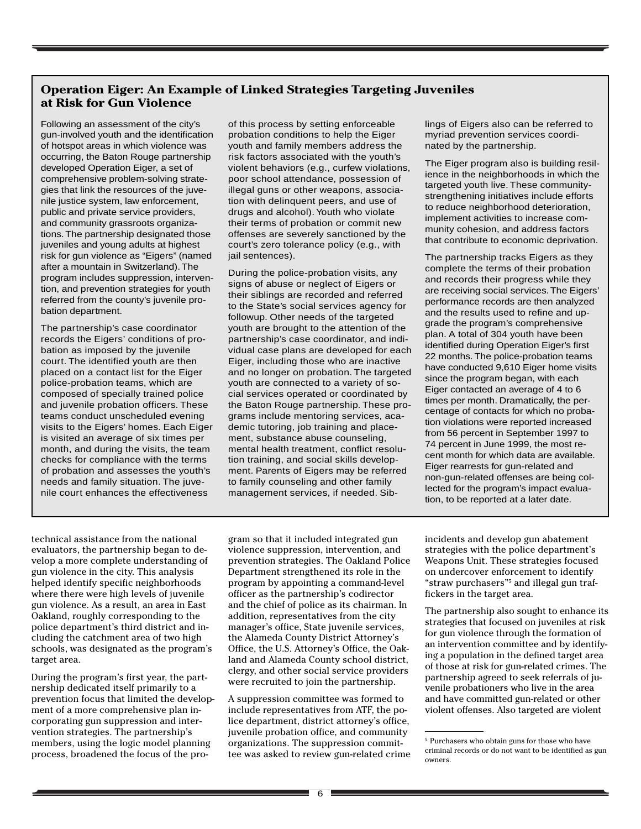## **Operation Eiger: An Example of Linked Strategies Targeting Juveniles at Risk for Gun Violence**

Following an assessment of the city's gun-involved youth and the identification of hotspot areas in which violence was occurring, the Baton Rouge partnership developed Operation Eiger, a set of comprehensive problem-solving strategies that link the resources of the juvenile justice system, law enforcement, public and private service providers, and community grassroots organizations. The partnership designated those juveniles and young adults at highest risk for gun violence as "Eigers" (named after a mountain in Switzerland). The program includes suppression, intervention, and prevention strategies for youth referred from the county's juvenile probation department.

The partnership's case coordinator records the Eigers' conditions of probation as imposed by the juvenile court. The identified youth are then placed on a contact list for the Eiger police-probation teams, which are composed of specially trained police and juvenile probation officers. These teams conduct unscheduled evening visits to the Eigers' homes. Each Eiger is visited an average of six times per month, and during the visits, the team checks for compliance with the terms of probation and assesses the youth's needs and family situation. The juvenile court enhances the effectiveness

of this process by setting enforceable probation conditions to help the Eiger youth and family members address the risk factors associated with the youth's violent behaviors (e.g., curfew violations, poor school attendance, possession of illegal guns or other weapons, association with delinquent peers, and use of drugs and alcohol). Youth who violate their terms of probation or commit new offenses are severely sanctioned by the court's zero tolerance policy (e.g., with jail sentences).

During the police-probation visits, any signs of abuse or neglect of Eigers or their siblings are recorded and referred to the State's social services agency for followup. Other needs of the targeted youth are brought to the attention of the partnership's case coordinator, and individual case plans are developed for each Eiger, including those who are inactive and no longer on probation. The targeted youth are connected to a variety of social services operated or coordinated by the Baton Rouge partnership. These programs include mentoring services, academic tutoring, job training and placement, substance abuse counseling, mental health treatment, conflict resolution training, and social skills development. Parents of Eigers may be referred to family counseling and other family management services, if needed. Siblings of Eigers also can be referred to myriad prevention services coordinated by the partnership.

The Eiger program also is building resilience in the neighborhoods in which the targeted youth live. These communitystrengthening initiatives include efforts to reduce neighborhood deterioration, implement activities to increase community cohesion, and address factors that contribute to economic deprivation.

The partnership tracks Eigers as they complete the terms of their probation and records their progress while they are receiving social services. The Eigers' performance records are then analyzed and the results used to refine and upgrade the program's comprehensive plan. A total of 304 youth have been identified during Operation Eiger's first 22 months. The police-probation teams have conducted 9,610 Eiger home visits since the program began, with each Eiger contacted an average of 4 to 6 times per month. Dramatically, the percentage of contacts for which no probation violations were reported increased from 56 percent in September 1997 to 74 percent in June 1999, the most recent month for which data are available. Eiger rearrests for gun-related and non-gun-related offenses are being collected for the program's impact evaluation, to be reported at a later date.

technical assistance from the national evaluators, the partnership began to develop a more complete understanding of gun violence in the city. This analysis helped identify specific neighborhoods where there were high levels of juvenile gun violence. As a result, an area in East Oakland, roughly corresponding to the police department's third district and including the catchment area of two high schools, was designated as the program's target area.

During the program's first year, the partnership dedicated itself primarily to a prevention focus that limited the development of a more comprehensive plan incorporating gun suppression and intervention strategies. The partnership's members, using the logic model planning process, broadened the focus of the pro-

gram so that it included integrated gun violence suppression, intervention, and prevention strategies. The Oakland Police Department strengthened its role in the program by appointing a command-level officer as the partnership's codirector and the chief of police as its chairman. In addition, representatives from the city manager's office, State juvenile services, the Alameda County District Attorney's Office, the U.S. Attorney's Office, the Oakland and Alameda County school district, clergy, and other social service providers were recruited to join the partnership.

A suppression committee was formed to include representatives from ATF, the police department, district attorney's office, juvenile probation office, and community organizations. The suppression committee was asked to review gun-related crime incidents and develop gun abatement strategies with the police department's Weapons Unit. These strategies focused on undercover enforcement to identify "straw purchasers"5 and illegal gun traffickers in the target area.

The partnership also sought to enhance its strategies that focused on juveniles at risk for gun violence through the formation of an intervention committee and by identifying a population in the defined target area of those at risk for gun-related crimes. The partnership agreed to seek referrals of juvenile probationers who live in the area and have committed gun-related or other violent offenses. Also targeted are violent

<sup>5</sup> Purchasers who obtain guns for those who have criminal records or do not want to be identified as gun owners.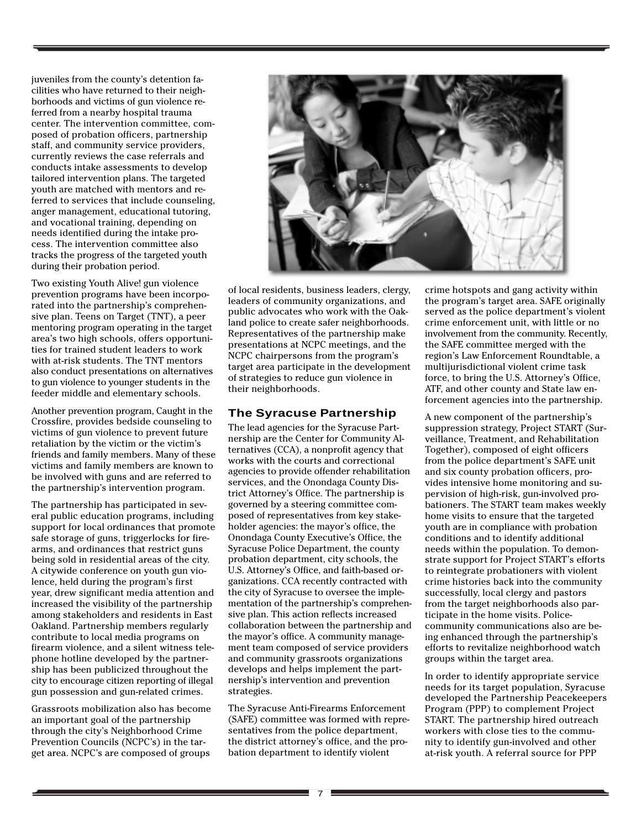juveniles from the county's detention facilities who have returned to their neighborhoods and victims of gun violence referred from a nearby hospital trauma center. The intervention committee, composed of probation officers, partnership staff, and community service providers, currently reviews the case referrals and conducts intake assessments to develop tailored intervention plans. The targeted youth are matched with mentors and referred to services that include counseling, anger management, educational tutoring, and vocational training, depending on needs identified during the intake process. The intervention committee also tracks the progress of the targeted youth during their probation period.

Two existing Youth Alive! gun violence prevention programs have been incorporated into the partnership's comprehensive plan. Teens on Target (TNT), a peer mentoring program operating in the target area's two high schools, offers opportunities for trained student leaders to work with at-risk students. The TNT mentors also conduct presentations on alternatives to gun violence to younger students in the feeder middle and elementary schools.

Another prevention program, Caught in the Crossfire, provides bedside counseling to victims of gun violence to prevent future retaliation by the victim or the victim's friends and family members. Many of these victims and family members are known to be involved with guns and are referred to the partnership's intervention program.

The partnership has participated in several public education programs, including support for local ordinances that promote safe storage of guns, triggerlocks for firearms, and ordinances that restrict guns being sold in residential areas of the city. A citywide conference on youth gun violence, held during the program's first year, drew significant media attention and increased the visibility of the partnership among stakeholders and residents in East Oakland. Partnership members regularly contribute to local media programs on firearm violence, and a silent witness telephone hotline developed by the partnership has been publicized throughout the city to encourage citizen reporting of illegal gun possession and gun-related crimes.

Grassroots mobilization also has become an important goal of the partnership through the city's Neighborhood Crime Prevention Councils (NCPC's) in the target area. NCPC's are composed of groups



of local residents, business leaders, clergy, leaders of community organizations, and public advocates who work with the Oakland police to create safer neighborhoods. Representatives of the partnership make presentations at NCPC meetings, and the NCPC chairpersons from the program's target area participate in the development of strategies to reduce gun violence in their neighborhoods.

#### **The Syracuse Partnership**

The lead agencies for the Syracuse Partnership are the Center for Community Alternatives (CCA), a nonprofit agency that works with the courts and correctional agencies to provide offender rehabilitation services, and the Onondaga County District Attorney's Office. The partnership is governed by a steering committee composed of representatives from key stakeholder agencies: the mayor's office, the Onondaga County Executive's Office, the Syracuse Police Department, the county probation department, city schools, the U.S. Attorney's Office, and faith-based organizations. CCA recently contracted with the city of Syracuse to oversee the implementation of the partnership's comprehensive plan. This action reflects increased collaboration between the partnership and the mayor's office. A community management team composed of service providers and community grassroots organizations develops and helps implement the partnership's intervention and prevention strategies.

The Syracuse Anti-Firearms Enforcement (SAFE) committee was formed with representatives from the police department, the district attorney's office, and the probation department to identify violent

crime hotspots and gang activity within the program's target area. SAFE originally served as the police department's violent crime enforcement unit, with little or no involvement from the community. Recently, the SAFE committee merged with the region's Law Enforcement Roundtable, a multijurisdictional violent crime task force, to bring the U.S. Attorney's Office, ATF, and other county and State law enforcement agencies into the partnership.

A new component of the partnership's suppression strategy, Project START (Surveillance, Treatment, and Rehabilitation Together), composed of eight officers from the police department's SAFE unit and six county probation officers, provides intensive home monitoring and supervision of high-risk, gun-involved probationers. The START team makes weekly home visits to ensure that the targeted youth are in compliance with probation conditions and to identify additional needs within the population. To demonstrate support for Project START's efforts to reintegrate probationers with violent crime histories back into the community successfully, local clergy and pastors from the target neighborhoods also participate in the home visits. Policecommunity communications also are being enhanced through the partnership's efforts to revitalize neighborhood watch groups within the target area.

In order to identify appropriate service needs for its target population, Syracuse developed the Partnership Peacekeepers Program (PPP) to complement Project START. The partnership hired outreach workers with close ties to the community to identify gun-involved and other at-risk youth. A referral source for PPP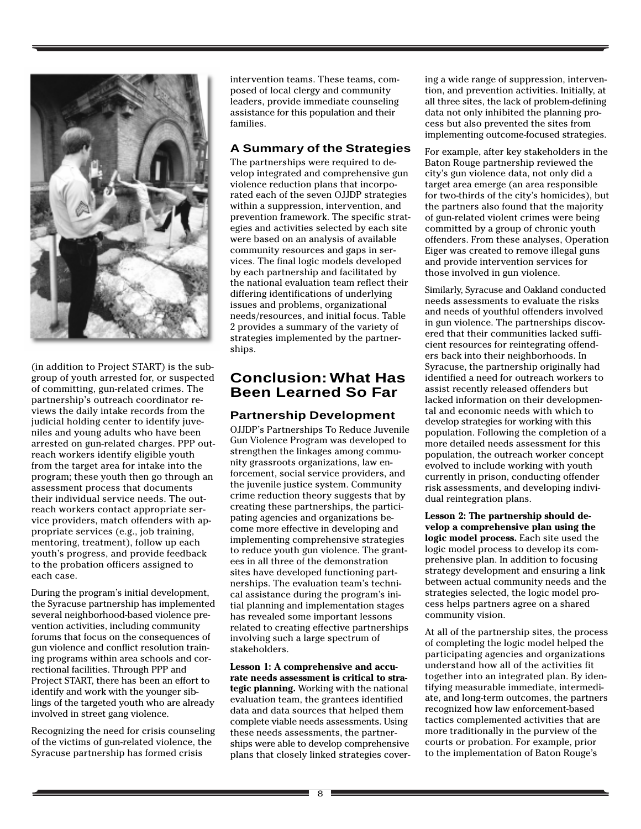

(in addition to Project START) is the subgroup of youth arrested for, or suspected of committing, gun-related crimes. The partnership's outreach coordinator reviews the daily intake records from the judicial holding center to identify juveniles and young adults who have been arrested on gun-related charges. PPP outreach workers identify eligible youth from the target area for intake into the program; these youth then go through an assessment process that documents their individual service needs. The outreach workers contact appropriate service providers, match offenders with appropriate services (e.g., job training, mentoring, treatment), follow up each youth's progress, and provide feedback to the probation officers assigned to each case.

During the program's initial development, the Syracuse partnership has implemented several neighborhood-based violence prevention activities, including community forums that focus on the consequences of gun violence and conflict resolution training programs within area schools and correctional facilities. Through PPP and Project START, there has been an effort to identify and work with the younger siblings of the targeted youth who are already involved in street gang violence.

Recognizing the need for crisis counseling of the victims of gun-related violence, the Syracuse partnership has formed crisis

intervention teams. These teams, composed of local clergy and community leaders, provide immediate counseling assistance for this population and their families.

#### **A Summary of the Strategies**

The partnerships were required to develop integrated and comprehensive gun violence reduction plans that incorporated each of the seven OJJDP strategies within a suppression, intervention, and prevention framework. The specific strategies and activities selected by each site were based on an analysis of available community resources and gaps in services. The final logic models developed by each partnership and facilitated by the national evaluation team reflect their differing identifications of underlying issues and problems, organizational needs/resources, and initial focus. Table 2 provides a summary of the variety of strategies implemented by the partnerships.

# **Conclusion: What Has Been Learned So Far**

## **Partnership Development**

OJJDP's Partnerships To Reduce Juvenile Gun Violence Program was developed to strengthen the linkages among community grassroots organizations, law enforcement, social service providers, and the juvenile justice system. Community crime reduction theory suggests that by creating these partnerships, the participating agencies and organizations become more effective in developing and implementing comprehensive strategies to reduce youth gun violence. The grantees in all three of the demonstration sites have developed functioning partnerships. The evaluation team's technical assistance during the program's initial planning and implementation stages has revealed some important lessons related to creating effective partnerships involving such a large spectrum of stakeholders.

**Lesson 1: A comprehensive and accurate needs assessment is critical to strategic planning.** Working with the national evaluation team, the grantees identified data and data sources that helped them complete viable needs assessments. Using these needs assessments, the partnerships were able to develop comprehensive plans that closely linked strategies covering a wide range of suppression, intervention, and prevention activities. Initially, at all three sites, the lack of problem-defining data not only inhibited the planning process but also prevented the sites from implementing outcome-focused strategies.

For example, after key stakeholders in the Baton Rouge partnership reviewed the city's gun violence data, not only did a target area emerge (an area responsible for two-thirds of the city's homicides), but the partners also found that the majority of gun-related violent crimes were being committed by a group of chronic youth offenders. From these analyses, Operation Eiger was created to remove illegal guns and provide intervention services for those involved in gun violence.

Similarly, Syracuse and Oakland conducted needs assessments to evaluate the risks and needs of youthful offenders involved in gun violence. The partnerships discovered that their communities lacked sufficient resources for reintegrating offenders back into their neighborhoods. In Syracuse, the partnership originally had identified a need for outreach workers to assist recently released offenders but lacked information on their developmental and economic needs with which to develop strategies for working with this population. Following the completion of a more detailed needs assessment for this population, the outreach worker concept evolved to include working with youth currently in prison, conducting offender risk assessments, and developing individual reintegration plans.

**Lesson 2: The partnership should develop a comprehensive plan using the logic model process.** Each site used the logic model process to develop its comprehensive plan. In addition to focusing strategy development and ensuring a link between actual community needs and the strategies selected, the logic model process helps partners agree on a shared community vision.

At all of the partnership sites, the process of completing the logic model helped the participating agencies and organizations understand how all of the activities fit together into an integrated plan. By identifying measurable immediate, intermediate, and long-term outcomes, the partners recognized how law enforcement-based tactics complemented activities that are more traditionally in the purview of the courts or probation. For example, prior to the implementation of Baton Rouge's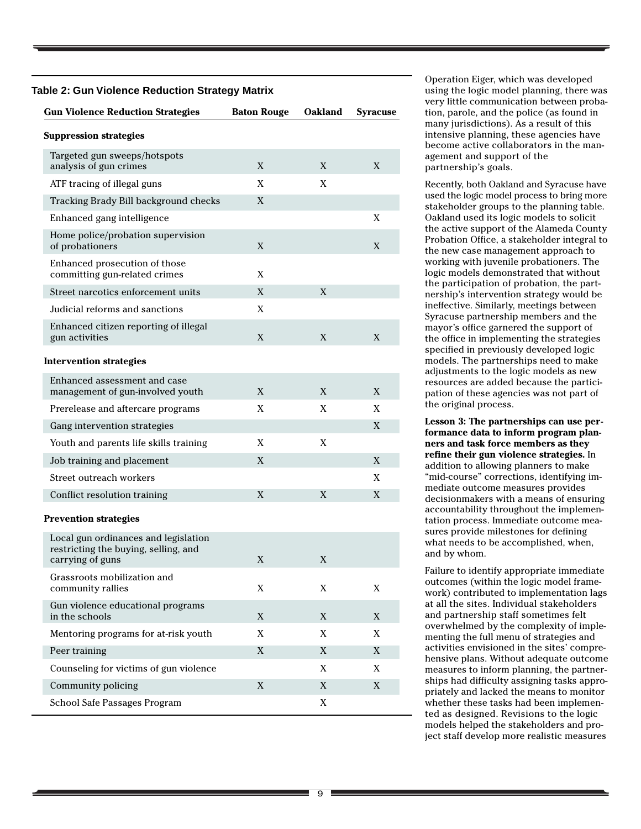#### **Table 2: Gun Violence Reduction Strategy Matrix**

| <b>Gun Violence Reduction Strategies</b>                                                         | <b>Baton Rouge</b> | <b>Oakland</b> | <b>Syracuse</b> |
|--------------------------------------------------------------------------------------------------|--------------------|----------------|-----------------|
| <b>Suppression strategies</b>                                                                    |                    |                |                 |
| Targeted gun sweeps/hotspots<br>analysis of gun crimes                                           | X                  | X              | X               |
| ATF tracing of illegal guns                                                                      | X                  | X              |                 |
| Tracking Brady Bill background checks                                                            | X                  |                |                 |
| Enhanced gang intelligence                                                                       |                    |                | X               |
| Home police/probation supervision<br>of probationers                                             | X                  |                | X               |
| Enhanced prosecution of those<br>committing gun-related crimes                                   | X                  |                |                 |
| Street narcotics enforcement units                                                               | X                  | X              |                 |
| Judicial reforms and sanctions                                                                   | X                  |                |                 |
| Enhanced citizen reporting of illegal<br>gun activities                                          | X                  | X              | X               |
| <b>Intervention strategies</b>                                                                   |                    |                |                 |
| Enhanced assessment and case<br>management of gun-involved youth                                 | X                  | X              | X               |
| Prerelease and aftercare programs                                                                | X                  | X              | X               |
| Gang intervention strategies                                                                     |                    |                | X               |
| Youth and parents life skills training                                                           | X                  | X              |                 |
| Job training and placement                                                                       | X                  |                | X               |
| Street outreach workers                                                                          |                    |                | X               |
| Conflict resolution training                                                                     | X                  | X              | X               |
| <b>Prevention strategies</b>                                                                     |                    |                |                 |
| Local gun ordinances and legislation<br>restricting the buying, selling, and<br>carrying of guns | X                  | X              |                 |
| Grassroots mobilization and<br>community rallies                                                 | X                  | X              | X               |
| Gun violence educational programs<br>in the schools                                              | X                  | X              | X               |
| Mentoring programs for at-risk youth                                                             | X                  | X              | X               |
| Peer training                                                                                    | X                  | X              | X               |
| Counseling for victims of gun violence                                                           |                    | X              | X               |
| Community policing                                                                               | X.                 | X              | X.              |
| School Safe Passages Program                                                                     |                    | X.             |                 |

Operation Eiger, which was developed using the logic model planning, there was very little communication between probation, parole, and the police (as found in many jurisdictions). As a result of this intensive planning, these agencies have become active collaborators in the management and support of the partnership's goals.

Recently, both Oakland and Syracuse have used the logic model process to bring more stakeholder groups to the planning table. Oakland used its logic models to solicit the active support of the Alameda County Probation Office, a stakeholder integral to the new case management approach to working with juvenile probationers. The logic models demonstrated that without the participation of probation, the partnership's intervention strategy would be ineffective. Similarly, meetings between Syracuse partnership members and the mayor's office garnered the support of the office in implementing the strategies specified in previously developed logic models. The partnerships need to make adjustments to the logic models as new resources are added because the participation of these agencies was not part of the original process.

**Lesson 3: The partnerships can use performance data to inform program planners and task force members as they refine their gun violence strategies.** In addition to allowing planners to make "mid-course" corrections, identifying immediate outcome measures provides decisionmakers with a means of ensuring accountability throughout the implementation process. Immediate outcome measures provide milestones for defining what needs to be accomplished, when, and by whom.

Failure to identify appropriate immediate outcomes (within the logic model framework) contributed to implementation lags at all the sites. Individual stakeholders and partnership staff sometimes felt overwhelmed by the complexity of implementing the full menu of strategies and activities envisioned in the sites' comprehensive plans. Without adequate outcome measures to inform planning, the partnerships had difficulty assigning tasks appropriately and lacked the means to monitor whether these tasks had been implemented as designed. Revisions to the logic models helped the stakeholders and project staff develop more realistic measures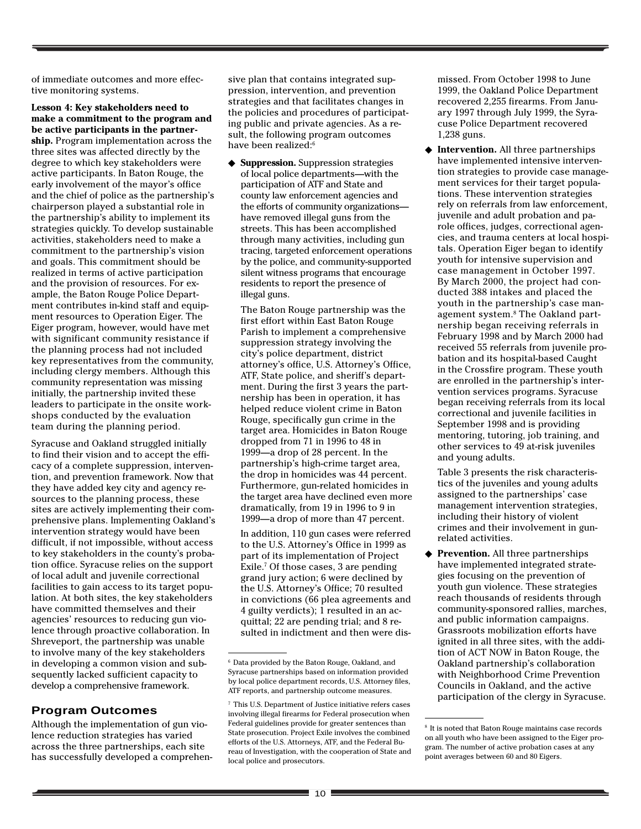of immediate outcomes and more effective monitoring systems.

**Lesson 4: Key stakeholders need to make a commitment to the program and be active participants in the partnership.** Program implementation across the three sites was affected directly by the degree to which key stakeholders were active participants. In Baton Rouge, the early involvement of the mayor's office and the chief of police as the partnership's chairperson played a substantial role in the partnership's ability to implement its strategies quickly. To develop sustainable activities, stakeholders need to make a commitment to the partnership's vision and goals. This commitment should be realized in terms of active participation and the provision of resources. For example, the Baton Rouge Police Department contributes in-kind staff and equipment resources to Operation Eiger. The Eiger program, however, would have met with significant community resistance if the planning process had not included key representatives from the community, including clergy members. Although this community representation was missing initially, the partnership invited these leaders to participate in the onsite workshops conducted by the evaluation team during the planning period.

Syracuse and Oakland struggled initially to find their vision and to accept the efficacy of a complete suppression, intervention, and prevention framework. Now that they have added key city and agency resources to the planning process, these sites are actively implementing their comprehensive plans. Implementing Oakland's intervention strategy would have been difficult, if not impossible, without access to key stakeholders in the county's probation office. Syracuse relies on the support of local adult and juvenile correctional facilities to gain access to its target population. At both sites, the key stakeholders have committed themselves and their agencies' resources to reducing gun violence through proactive collaboration. In Shreveport, the partnership was unable to involve many of the key stakeholders in developing a common vision and subsequently lacked sufficient capacity to develop a comprehensive framework.

# **Program Outcomes**

Although the implementation of gun violence reduction strategies has varied across the three partnerships, each site has successfully developed a comprehen-

sive plan that contains integrated suppression, intervention, and prevention strategies and that facilitates changes in the policies and procedures of participating public and private agencies. As a result, the following program outcomes have been realized:<sup>6</sup>

◆ **Suppression.** Suppression strategies of local police departments—with the participation of ATF and State and county law enforcement agencies and the efforts of community organizations have removed illegal guns from the streets. This has been accomplished through many activities, including gun tracing, targeted enforcement operations by the police, and community-supported silent witness programs that encourage residents to report the presence of illegal guns.

The Baton Rouge partnership was the first effort within East Baton Rouge Parish to implement a comprehensive suppression strategy involving the city's police department, district attorney's office, U.S. Attorney's Office, ATF, State police, and sheriff's department. During the first 3 years the partnership has been in operation, it has helped reduce violent crime in Baton Rouge, specifically gun crime in the target area. Homicides in Baton Rouge dropped from 71 in 1996 to 48 in 1999—a drop of 28 percent. In the partnership's high-crime target area, the drop in homicides was 44 percent. Furthermore, gun-related homicides in the target area have declined even more dramatically, from 19 in 1996 to 9 in 1999—a drop of more than 47 percent.

In addition, 110 gun cases were referred to the U.S. Attorney's Office in 1999 as part of its implementation of Project Exile.7 Of those cases, 3 are pending grand jury action; 6 were declined by the U.S. Attorney's Office; 70 resulted in convictions (66 plea agreements and 4 guilty verdicts); 1 resulted in an acquittal; 22 are pending trial; and 8 resulted in indictment and then were dismissed. From October 1998 to June 1999, the Oakland Police Department recovered 2,255 firearms. From January 1997 through July 1999, the Syracuse Police Department recovered 1,238 guns.

◆ **Intervention.** All three partnerships have implemented intensive intervention strategies to provide case management services for their target populations. These intervention strategies rely on referrals from law enforcement, juvenile and adult probation and parole offices, judges, correctional agencies, and trauma centers at local hospitals. Operation Eiger began to identify youth for intensive supervision and case management in October 1997. By March 2000, the project had conducted 388 intakes and placed the youth in the partnership's case management system.8 The Oakland partnership began receiving referrals in February 1998 and by March 2000 had received 55 referrals from juvenile probation and its hospital-based Caught in the Crossfire program. These youth are enrolled in the partnership's intervention services programs. Syracuse began receiving referrals from its local correctional and juvenile facilities in September 1998 and is providing mentoring, tutoring, job training, and other services to 49 at-risk juveniles and young adults.

Table 3 presents the risk characteristics of the juveniles and young adults assigned to the partnerships' case management intervention strategies, including their history of violent crimes and their involvement in gunrelated activities.

◆ **Prevention.** All three partnerships have implemented integrated strategies focusing on the prevention of youth gun violence. These strategies reach thousands of residents through community-sponsored rallies, marches, and public information campaigns. Grassroots mobilization efforts have ignited in all three sites, with the addition of ACT NOW in Baton Rouge, the Oakland partnership's collaboration with Neighborhood Crime Prevention Councils in Oakland, and the active participation of the clergy in Syracuse.

<sup>6</sup> Data provided by the Baton Rouge, Oakland, and Syracuse partnerships based on information provided by local police department records, U.S. Attorney files, ATF reports, and partnership outcome measures.

<sup>7</sup> This U.S. Department of Justice initiative refers cases involving illegal firearms for Federal prosecution when Federal guidelines provide for greater sentences than State prosecution. Project Exile involves the combined efforts of the U.S. Attorneys, ATF, and the Federal Bureau of Investigation, with the cooperation of State and local police and prosecutors.

 $^{\rm 8}$  It is noted that Baton Rouge maintains case records on all youth who have been assigned to the Eiger program. The number of active probation cases at any point averages between 60 and 80 Eigers.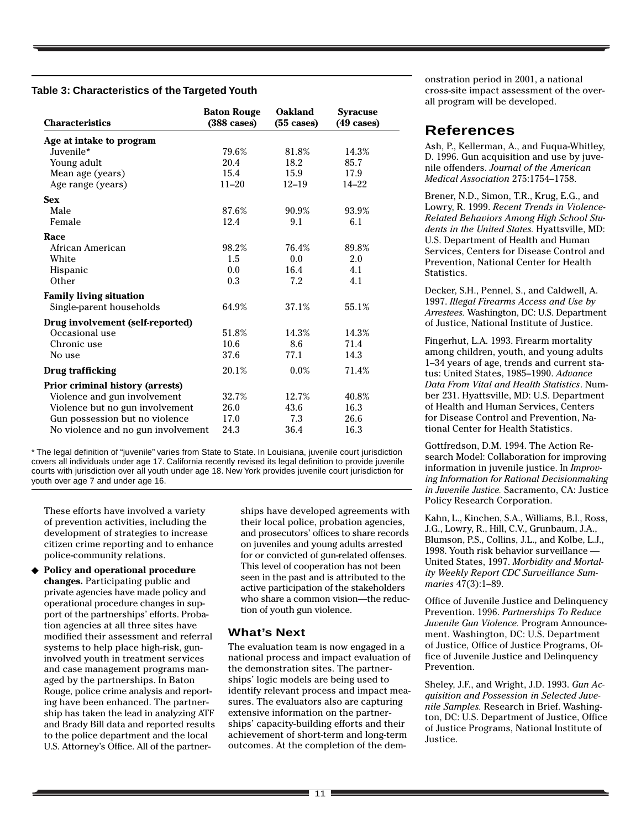#### **Table 3: Characteristics of the Targeted Youth**

| <b>Characteristics</b>             | <b>Baton Rouge</b><br>$(388 \text{ cases})$ | <b>Oakland</b><br>$(55 \cases)$ | <b>Syracuse</b><br>$(49 \cases)$ |
|------------------------------------|---------------------------------------------|---------------------------------|----------------------------------|
| Age at intake to program           |                                             |                                 |                                  |
| Juvenile*                          | 79.6%                                       | 81.8%                           | 14.3%                            |
| Young adult                        | 20.4                                        | 18.2                            | 85.7                             |
| Mean age (years)                   | 15.4                                        | 15.9                            | 17.9                             |
| Age range (years)                  | $11 - 20$                                   | $12 - 19$                       | $14 - 22$                        |
| <b>Sex</b>                         |                                             |                                 |                                  |
| Male                               | 87.6%                                       | 90.9%                           | 93.9%                            |
| Female                             | 12.4                                        | 9.1                             | 6.1                              |
| Race                               |                                             |                                 |                                  |
| African American                   | 98.2%                                       | 76.4%                           | 89.8%                            |
| White                              | 1.5                                         | 0.0                             | 2.0                              |
| Hispanic                           | 0.0                                         | 16.4                            | 4.1                              |
| Other                              | 0.3                                         | 7.2                             | 4.1                              |
| <b>Family living situation</b>     |                                             |                                 |                                  |
| Single-parent households           | 64.9%                                       | 37.1%                           | 55.1%                            |
| Drug involvement (self-reported)   |                                             |                                 |                                  |
| Occasional use                     | 51.8%                                       | 14.3%                           | 14.3%                            |
| Chronic use                        | 10.6                                        | 8.6                             | 71.4                             |
| No use                             | 37.6                                        | 77.1                            | 14.3                             |
| Drug trafficking                   | 20.1%                                       | $0.0\%$                         | 71.4%                            |
| Prior criminal history (arrests)   |                                             |                                 |                                  |
| Violence and gun involvement       | 32.7%                                       | 12.7%                           | 40.8%                            |
| Violence but no gun involvement    | 26.0                                        | 43.6                            | 16.3                             |
| Gun possession but no violence     | 17.0                                        | 7.3                             | 26.6                             |
| No violence and no gun involvement | 24.3                                        | 36.4                            | 16.3                             |

\* The legal definition of "juvenile" varies from State to State. In Louisiana, juvenile court jurisdiction covers all individuals under age 17. California recently revised its legal definition to provide juvenile courts with jurisdiction over all youth under age 18. New York provides juvenile court jurisdiction for youth over age 7 and under age 16.

These efforts have involved a variety of prevention activities, including the development of strategies to increase citizen crime reporting and to enhance police-community relations.

◆ **Policy and operational procedure changes.** Participating public and private agencies have made policy and operational procedure changes in support of the partnerships' efforts. Probation agencies at all three sites have modified their assessment and referral systems to help place high-risk, guninvolved youth in treatment services and case management programs managed by the partnerships. In Baton Rouge, police crime analysis and reporting have been enhanced. The partnership has taken the lead in analyzing ATF and Brady Bill data and reported results to the police department and the local U.S. Attorney's Office. All of the partner-

ships have developed agreements with their local police, probation agencies, and prosecutors' offices to share records on juveniles and young adults arrested for or convicted of gun-related offenses. This level of cooperation has not been seen in the past and is attributed to the active participation of the stakeholders who share a common vision—the reduction of youth gun violence.

#### **What's Next**

The evaluation team is now engaged in a national process and impact evaluation of the demonstration sites. The partnerships' logic models are being used to identify relevant process and impact measures. The evaluators also are capturing extensive information on the partnerships' capacity-building efforts and their achievement of short-term and long-term outcomes. At the completion of the demonstration period in 2001, a national cross-site impact assessment of the overall program will be developed.

# **References**

Ash, P., Kellerman, A., and Fuqua-Whitley, D. 1996. Gun acquisition and use by juvenile offenders. *Journal of the American Medical Association* 275:1754–1758.

Brener, N.D., Simon, T.R., Krug, E.G., and Lowry, R. 1999. *Recent Trends in Violence-Related Behaviors Among High School Students in the United States.* Hyattsville, MD: U.S. Department of Health and Human Services, Centers for Disease Control and Prevention, National Center for Health Statistics.

Decker, S.H., Pennel, S., and Caldwell, A. 1997. *Illegal Firearms Access and Use by Arrestees.* Washington, DC: U.S. Department of Justice, National Institute of Justice.

Fingerhut, L.A. 1993. Firearm mortality among children, youth, and young adults 1–34 years of age, trends and current status: United States, 1985–1990. *Advance Data From Vital and Health Statistics*. Number 231. Hyattsville, MD: U.S. Department of Health and Human Services, Centers for Disease Control and Prevention, National Center for Health Statistics.

Gottfredson, D.M. 1994. The Action Research Model: Collaboration for improving information in juvenile justice. In *Improving Information for Rational Decisionmaking in Juvenile Justice.* Sacramento, CA: Justice Policy Research Corporation.

Kahn, L., Kinchen, S.A., Williams, B.I., Ross, J.G., Lowry, R., Hill, C.V., Grunbaum, J.A., Blumson, P.S., Collins, J.L., and Kolbe, L.J., 1998. Youth risk behavior surveillance — United States, 1997. *Morbidity and Mortality Weekly Report CDC Surveillance Summaries* 47(3):1–89.

Office of Juvenile Justice and Delinquency Prevention. 1996. *Partnerships To Reduce Juvenile Gun Violence.* Program Announcement. Washington, DC: U.S. Department of Justice, Office of Justice Programs, Office of Juvenile Justice and Delinquency Prevention.

Sheley, J.F., and Wright, J.D. 1993. *Gun Acquisition and Possession in Selected Juvenile Samples.* Research in Brief. Washington, DC: U.S. Department of Justice, Office of Justice Programs, National Institute of Justice.